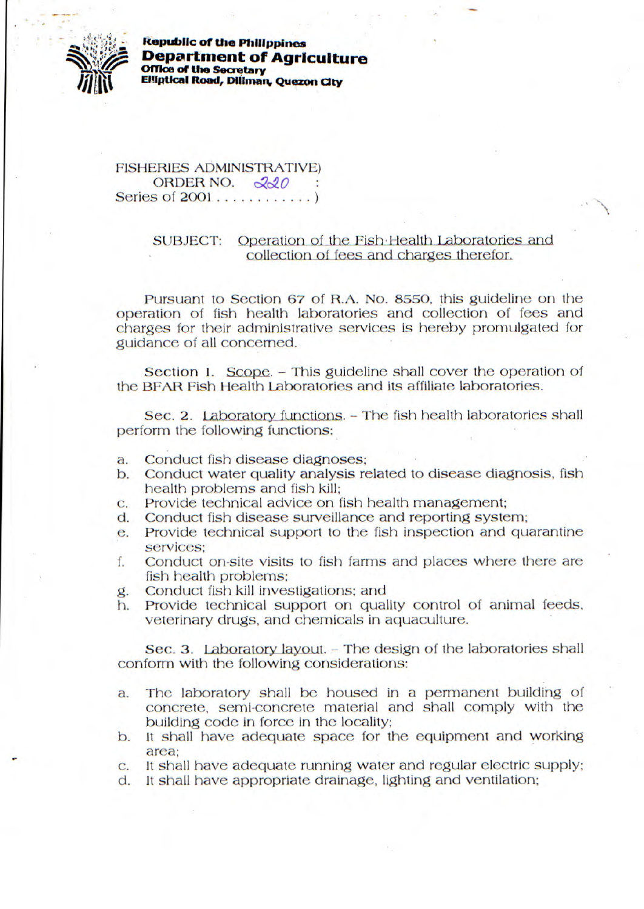

**Kepsd,lIc of the Philippines Department of Agriculture Office of the Secretary Elliptical Road, Diliman, Quezon City** 

FISHERIES ADMINISTRATIVE) **ORDER NO.** 220 Series of 2001 ............ *)* 

## SUBJECT: Operation of the Fish-Health Laboratories and collection **of** fees and charges therefor,

Pursuant to Section 67 of R.A. No. 8550, this guideline on the operation of fish health laboratories and collection of fees and charges for their administrative services is hereby promulgated for guidance of all concerned.

Section *1. Scope.* - This guideline shall cover the operation of the BFAR Fish Health Laboratories and its affiliate laboratories.

*Sec. 2.* Laboratory functions. - The fish health laboratories shall perform the following functions:

- a. Conduct fish disease diagnoses;
- b. Conduct water quality analysis related to disease diagnosis, fish health problems and fish kill;
- c. Provide technical advice on fish health management;
- d. Conduct fish disease surveillance and reporting system;
- e. Provide technical support to the fish inspection and quarantine services;
- f. Conduct on-site visits to fish farms and places where there are fish health problems;
- g. Conduct fish kill investigations; and
- h. Provide technical support on quality control of animal feeds, veterinary drugs, and chemicals in aquaculture.

Sec. 3. Laboratory layout. - The design of the laboratories shall conform with the following considerations:

- a. The laboratory shall be housed in a permanent building of concrete, semi-concrete material and shall comply with the building code in force in the locality;
- b. it shall have adequate space for the equipment and working area:
- c. It shall have adequate running water and regular electric supply;
- d. it shall have appropriate drainage, lighting and ventilation;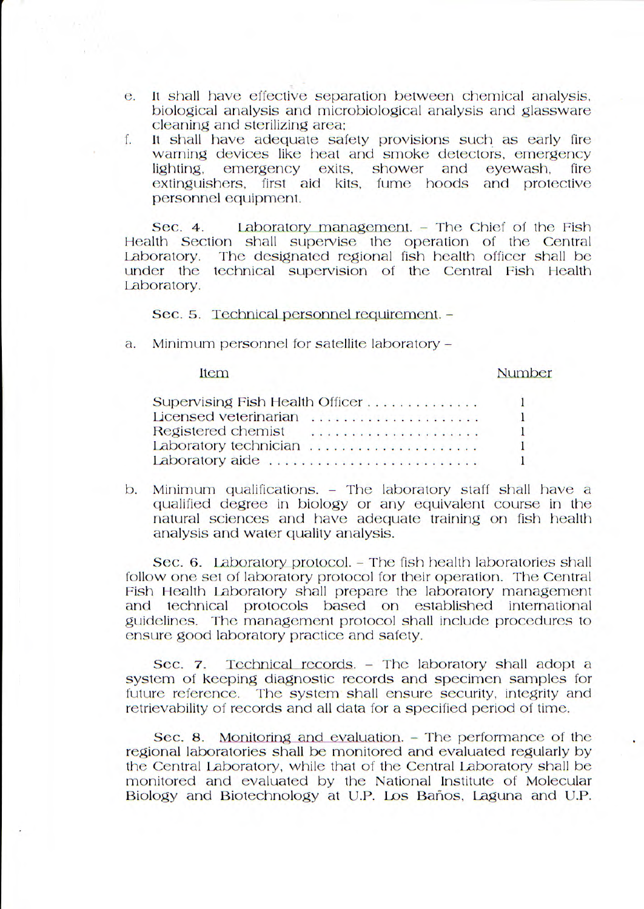- e. It shall have effective separation between chemical analysis, biological analysis and microbiological analysis and glassware cleaning and sterilizing area;
- f. It shall have adequate safety provisions such as early fire warning devices like heat and smoke detectors, emergency lighting, emergency exits, shower and eyewash, fire lighting, emergency exits, shower and eyewash, fire<br>extinguishers, first aid kits, fume hoods and protective personnel equipment.

Sec. 4. Laboratory management. - The Chief of the Fish Health Section shall supervise the operation of the Central<br>Laboratory. The designated regional fish health officer shall be The designated regional fish health officer shall be under the technical supervision of the Central Fish Health Laboratory.

Sec. 5. Technical personnel requirement. -

a. Minimum personnel for satellite laboratory -

Item

## Number

| Supervising Fish Health Officer |  |  |  |  |  |  |  |  |  |  |  |  |
|---------------------------------|--|--|--|--|--|--|--|--|--|--|--|--|
| Licensed veterinarian           |  |  |  |  |  |  |  |  |  |  |  |  |
| Registered chemist              |  |  |  |  |  |  |  |  |  |  |  |  |
| Laboratory technician           |  |  |  |  |  |  |  |  |  |  |  |  |
| Laboratory aide                 |  |  |  |  |  |  |  |  |  |  |  |  |

b. Minimum qualifications. - The laboratory staff shall have a qualified degree in biology or any equivalent course in the natural sciences and have adequate training on fish health analysis and water quality analysis.

Sec. 6. Laboratory protocol. - The fish health laboratories shall follow one set of laboratory protocol for their operation. The Central Fish Health Laboratory shall prepare the laboratory management and technical protocols based on established international guidelines. The management protocol shall include procedures to ensure good laboratory practice and safety.

Sec. 7. Technical records. - The laboratory shall adopt a system of keeping diagnostic records and specimen samples for future reference. The system shall ensure security, integrity and retrievability of records and all data for a specified period of time.

Sec. 8. Monitoring and evaluation. - The performance of the regional laboratories shall be monitored and evaluated regularly by the Central Laboratory, while that of the Central Laboratory shall be monitored and evaluated by the National Institute of Molecular Biology and Biotechnology at U.P. Los Baños, Laguna and U.P.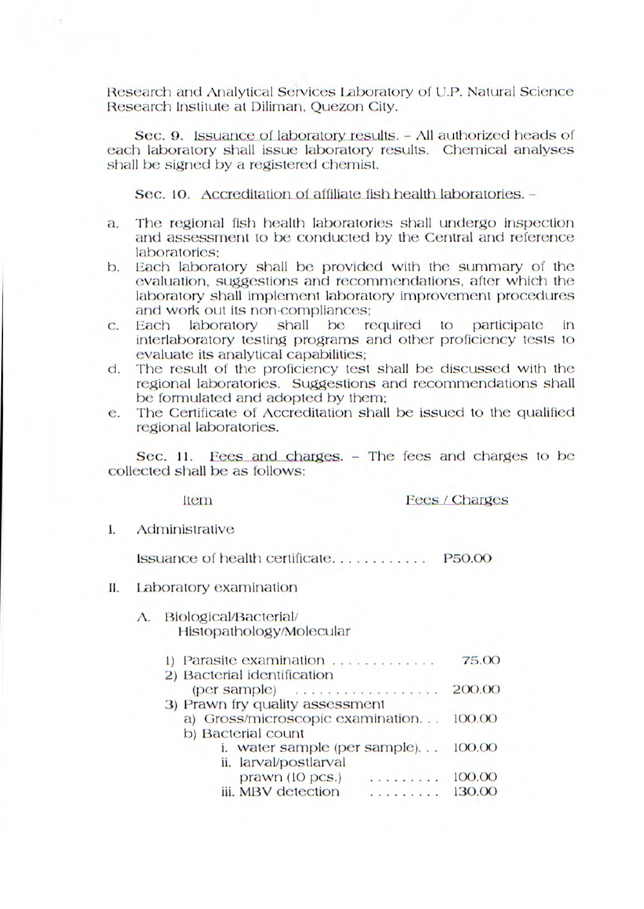Research and Analytical Services Laboratory of U.P. Natural Science Research Institute at Diliman, Quezon City.

Sec. 9. Issuance of laboratory results. - All authorized heads of each laboratory shall issue laboratory results. Chemical analyses shall be signed by a registered chemist.

Sec. 10. Accreditation of affiliate fish health laboratories. -

- a. The regional fish health laboratories shall undergo inspection and assessment to be conducted by the Central and reference laboratories;
- b. Each laboratory shall be provided with the summary of the evaluation, suggestions and recommendations, after which the laboratory shall implement laboratory improvement procedures and work out its non-compliances;
- c. Each laboratory shall be required to participate in interlaboratory testing programs and other proficiency tests to evaluate its analytical capabilities;
- d. The result of the proficiency test shall be discussed with the regional laboratories. Suggestions and recommendations shall be formulated and adopted by them;
- e. The Certificate of Accreditation shall be issued to the qualified regional laboratories.

Sec. 11. Fees and charges. - The fees and charges to be collected shall be as follows:

Item

Fees / Charges

I. Administrative

issuance of health certificate............P50.00

11. Laboratory examination

## A. Biological/Bacterial/ Histopathology/Molecular

| 1) Parasite examination          | 75.00  |
|----------------------------------|--------|
| 2) Bacterial identification      |        |
|                                  | 200.00 |
| 3) Prawn fry quality assessment  |        |
| a) Gross/microscopic examination | 100.00 |
| b) Bacterial count               |        |
| i. water sample (per sample)     | 100.00 |
| ii. larval/postlarval            |        |
| prawn (10 pcs.)<br>.             | 100.00 |
| iii. MBV detection<br>.          | 130.00 |
|                                  |        |